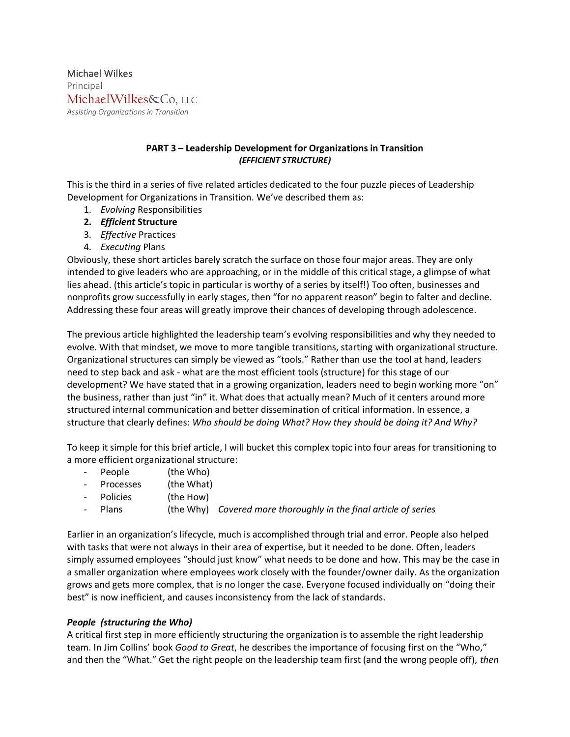Michael Wilkes Principal MichaelWilkes&Co, LLC *Assisting Organizations in Transition*

## **PART 3 – Leadership Development for Organizations in Transition** *(EFFICIENT STRUCTURE)*

This is the third in a series of five related articles dedicated to the four puzzle pieces of Leadership Development for Organizations in Transition. We've described them as:

- 1. *Evolving* Responsibilities
- **2.** *Efficient* **Structure**
- 3. *Effective* Practices
- 4. *Executing* Plans

Obviously, these short articles barely scratch the surface on those four major areas. They are only intended to give leaders who are approaching, or in the middle of this critical stage, a glimpse of what lies ahead. (this article's topic in particular is worthy of a series by itself!) Too often, businesses and nonprofits grow successfully in early stages, then "for no apparent reason" begin to falter and decline. Addressing these four areas will greatly improve their chances of developing through adolescence.

The previous article highlighted the leadership team's evolving responsibilities and why they needed to evolve. With that mindset, we move to more tangible transitions, starting with organizational structure. Organizational structures can simply be viewed as "tools." Rather than use the tool at hand, leaders need to step back and ask - what are the most efficient tools (structure) for this stage of our development? We have stated that in a growing organization, leaders need to begin working more "on" the business, rather than just "in" it. What does that actually mean? Much of it centers around more structured internal communication and better dissemination of critical information. In essence, a structure that clearly defines: *Who should be doing What? How they should be doing it? And Why?*

To keep it simple for this brief article, I will bucket this complex topic into four areas for transitioning to a more efficient organizational structure:

- People (the Who)
- Processes (the What)
- Policies (the How)
- Plans (the Why) *Covered more thoroughly in the final article of series*

Earlier in an organization's lifecycle, much is accomplished through trial and error. People also helped with tasks that were not always in their area of expertise, but it needed to be done. Often, leaders simply assumed employees "should just know" what needs to be done and how. This may be the case in a smaller organization where employees work closely with the founder/owner daily. As the organization grows and gets more complex, that is no longer the case. Everyone focused individually on "doing their best" is now inefficient, and causes inconsistency from the lack of standards.

# *People (structuring the Who)*

A critical first step in more efficiently structuring the organization is to assemble the right leadership team. In Jim Collins' book *Good to Great*, he describes the importance of focusing first on the "Who," and then the "What." Get the right people on the leadership team first (and the wrong people off), *then*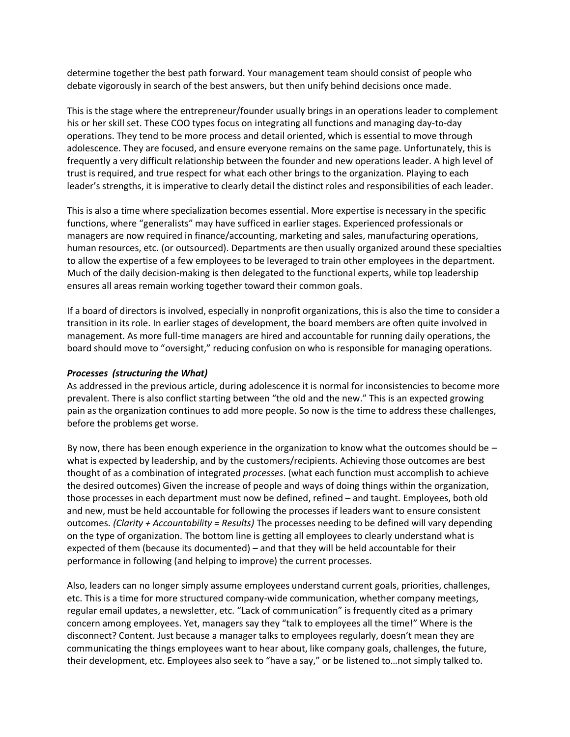determine together the best path forward. Your management team should consist of people who debate vigorously in search of the best answers, but then unify behind decisions once made.

This is the stage where the entrepreneur/founder usually brings in an operations leader to complement his or her skill set. These COO types focus on integrating all functions and managing day-to-day operations. They tend to be more process and detail oriented, which is essential to move through adolescence. They are focused, and ensure everyone remains on the same page. Unfortunately, this is frequently a very difficult relationship between the founder and new operations leader. A high level of trust is required, and true respect for what each other brings to the organization. Playing to each leader's strengths, it is imperative to clearly detail the distinct roles and responsibilities of each leader.

This is also a time where specialization becomes essential. More expertise is necessary in the specific functions, where "generalists" may have sufficed in earlier stages. Experienced professionals or managers are now required in finance/accounting, marketing and sales, manufacturing operations, human resources, etc. (or outsourced). Departments are then usually organized around these specialties to allow the expertise of a few employees to be leveraged to train other employees in the department. Much of the daily decision-making is then delegated to the functional experts, while top leadership ensures all areas remain working together toward their common goals.

If a board of directors is involved, especially in nonprofit organizations, this is also the time to consider a transition in its role. In earlier stages of development, the board members are often quite involved in management. As more full-time managers are hired and accountable for running daily operations, the board should move to "oversight," reducing confusion on who is responsible for managing operations.

#### *Processes (structuring the What)*

As addressed in the previous article, during adolescence it is normal for inconsistencies to become more prevalent. There is also conflict starting between "the old and the new." This is an expected growing pain as the organization continues to add more people. So now is the time to address these challenges, before the problems get worse.

By now, there has been enough experience in the organization to know what the outcomes should be – what is expected by leadership, and by the customers/recipients. Achieving those outcomes are best thought of as a combination of integrated *processes*. (what each function must accomplish to achieve the desired outcomes) Given the increase of people and ways of doing things within the organization, those processes in each department must now be defined, refined – and taught. Employees, both old and new, must be held accountable for following the processes if leaders want to ensure consistent outcomes. *(Clarity + Accountability = Results)* The processes needing to be defined will vary depending on the type of organization. The bottom line is getting all employees to clearly understand what is expected of them (because its documented) – and that they will be held accountable for their performance in following (and helping to improve) the current processes.

Also, leaders can no longer simply assume employees understand current goals, priorities, challenges, etc. This is a time for more structured company-wide communication, whether company meetings, regular email updates, a newsletter, etc. "Lack of communication" is frequently cited as a primary concern among employees. Yet, managers say they "talk to employees all the time!" Where is the disconnect? Content. Just because a manager talks to employees regularly, doesn't mean they are communicating the things employees want to hear about, like company goals, challenges, the future, their development, etc. Employees also seek to "have a say," or be listened to…not simply talked to.